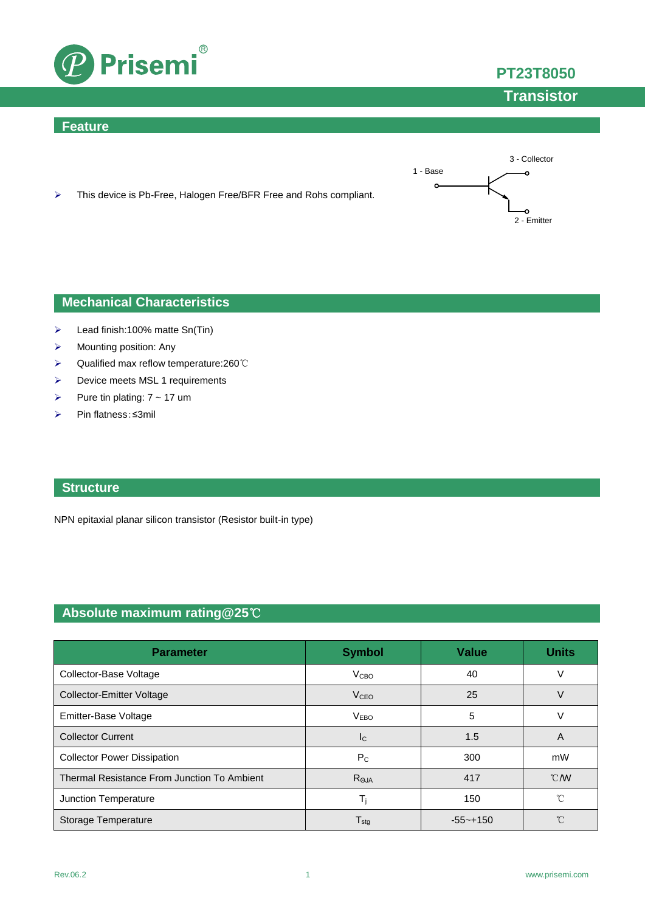

### **Feature**



**PT23T8050**

**Transistor**

> This device is Pb-Free, Halogen Free/BFR Free and Rohs compliant.

## **Mechanical Characteristics**

- $\blacktriangleright$  Lead finish:100% matte Sn(Tin)
- $\triangleright$  Mounting position: Any
- Qualified max reflow temperature:260℃
- > Device meets MSL 1 requirements
- Pure tin plating:  $7 \sim 17$  um
- Pin flatness:≤3mil

### **Structure**

NPN epitaxial planar silicon transistor (Resistor built-in type)

# **Absolute maximum rating@25**℃

| <b>Parameter</b>                            | <b>Symbol</b>               | <b>Value</b> | <b>Units</b>     |
|---------------------------------------------|-----------------------------|--------------|------------------|
| Collector-Base Voltage                      | V <sub>CBO</sub>            | 40           |                  |
| <b>Collector-Emitter Voltage</b>            | <b>V<sub>CEO</sub></b>      | 25           | V                |
| Emitter-Base Voltage                        | V <sub>EBO</sub>            | 5            |                  |
| <b>Collector Current</b>                    | <sub>Ic</sub>               | 1.5          | A                |
| <b>Collector Power Dissipation</b>          | $P_{C}$                     | 300          | mW               |
| Thermal Resistance From Junction To Ambient | $R_{\Theta JA}$             | 417          | $\mathcal{C}$ MV |
| Junction Temperature                        | T,                          | 150          | $^{\circ}$ C     |
| Storage Temperature                         | $\mathsf{T}_{\mathsf{stg}}$ | $-55 - +150$ | $^{\circ}$       |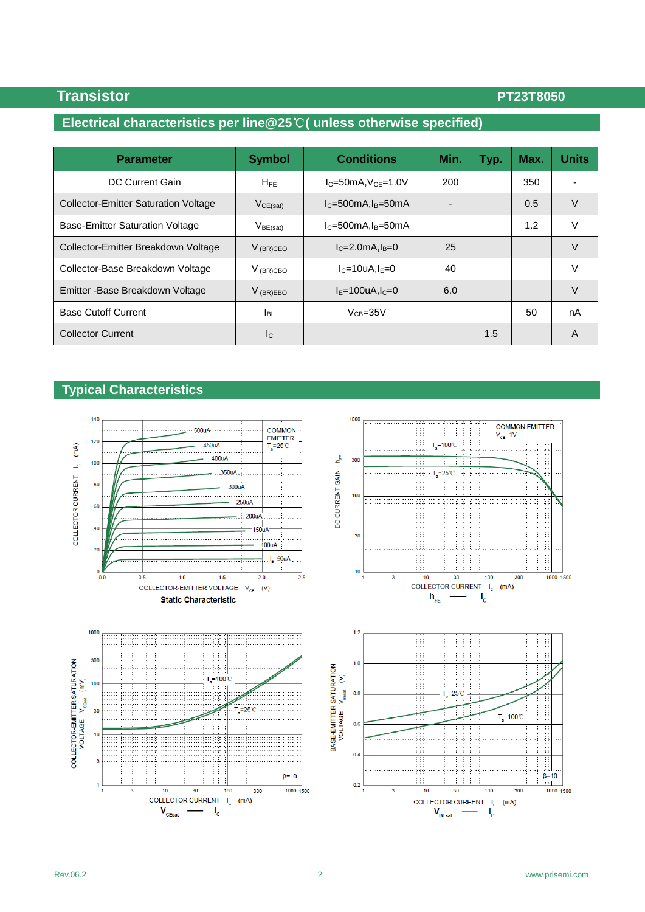## **Transistor PT23T8050**

# **Electrical characteristics per line@25**℃**( unless otherwise specified)**

| <b>Parameter</b>                            | <b>Symbol</b>             | <b>Conditions</b>   | Min. | Typ. | Max. | <b>Units</b> |
|---------------------------------------------|---------------------------|---------------------|------|------|------|--------------|
| <b>DC Current Gain</b>                      | $H_{FE}$                  | $IC=50mA, VCF=1.0V$ | 200  |      | 350  |              |
| <b>Collector-Emitter Saturation Voltage</b> | $V_{CE(sat)}$             | $IC=500mA, IB=50mA$ |      |      | 0.5  | V            |
| Base-Emitter Saturation Voltage             | $V_{BE(sat)}$             | $IC=500mA, IB=50mA$ |      |      | 1.2  | V            |
| Collector-Emitter Breakdown Voltage         | $V_{(BR)CEO}$             | $IC=2.0mA, IB=0$    | 25   |      |      | V            |
| Collector-Base Breakdown Voltage            | $V_{(BR)CBO}$             | $I_C=10uA,I_F=0$    | 40   |      |      | V            |
| Emitter - Base Breakdown Voltage            | $V_{(BR)EBO}$             | $IE=100uA, IC=0$    | 6.0  |      |      | V            |
| <b>Base Cutoff Current</b>                  | <b>I</b> BL               | $V_{CB} = 35V$      |      |      | 50   | nA           |
| <b>Collector Current</b>                    | $\mathsf{I}_{\mathsf{C}}$ |                     |      | 1.5  |      | A            |

### **Typical Characteristics**

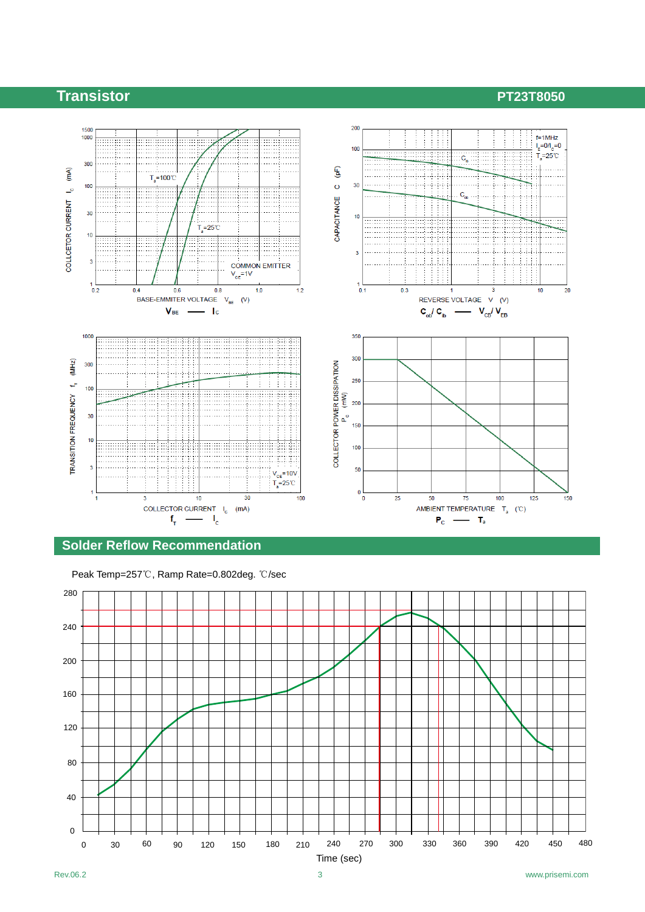# **Transistor PT23T8050**



#### **Solder Reflow Recommendation**

Peak Temp=257℃, Ramp Rate=0.802deg. ℃/sec

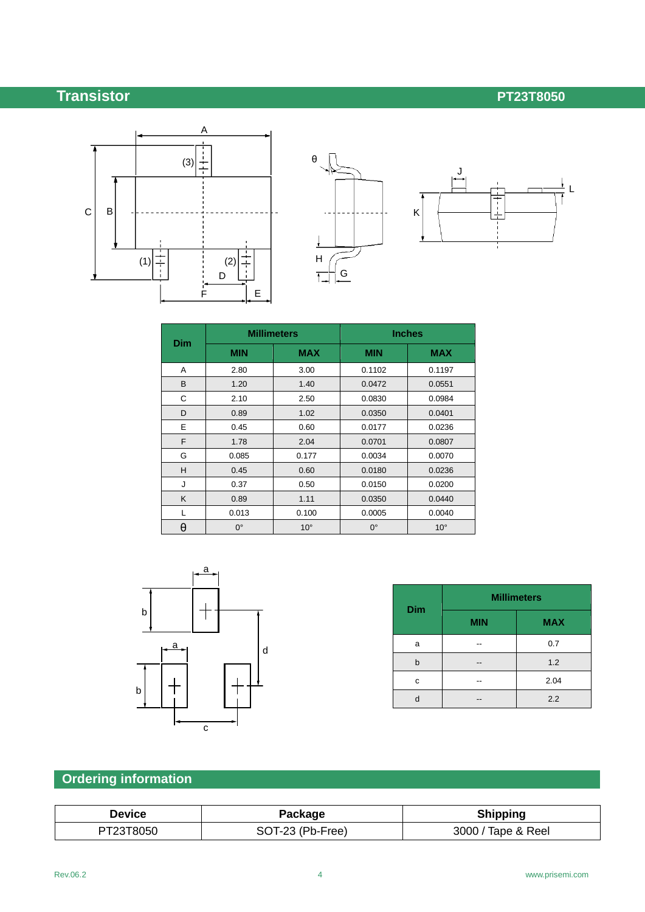# **Transistor PT23T8050**





| <b>Dim</b> |             | <b>Millimeters</b> |             | <b>Inches</b> |  |  |
|------------|-------------|--------------------|-------------|---------------|--|--|
|            | <b>MIN</b>  | <b>MAX</b>         | <b>MIN</b>  | <b>MAX</b>    |  |  |
| A          | 2.80        | 3.00               | 0.1102      | 0.1197        |  |  |
| B          | 1.20        | 1.40               | 0.0472      | 0.0551        |  |  |
| C          | 2.10        | 2.50               | 0.0830      | 0.0984        |  |  |
| D          | 0.89        | 1.02               | 0.0350      | 0.0401        |  |  |
| E          | 0.45        | 0.60               | 0.0177      | 0.0236        |  |  |
| F          | 1.78        | 2.04               | 0.0701      | 0.0807        |  |  |
| G          | 0.085       | 0.177              | 0.0034      | 0.0070        |  |  |
| H          | 0.45        | 0.60               | 0.0180      | 0.0236        |  |  |
| J          | 0.37        | 0.50               | 0.0150      | 0.0200        |  |  |
| K          | 0.89        | 1.11               | 0.0350      | 0.0440        |  |  |
| L          | 0.013       | 0.100              | 0.0005      | 0.0040        |  |  |
| θ          | $0^{\circ}$ | $10^{\circ}$       | $0^{\circ}$ | $10^{\circ}$  |  |  |



| <b>Dim</b> | <b>Millimeters</b> |            |  |
|------------|--------------------|------------|--|
|            | <b>MIN</b>         | <b>MAX</b> |  |
| a          | --                 | 0.7        |  |
| b          | --                 | 1.2        |  |
| c          |                    | 2.04       |  |
|            |                    | 2.2        |  |

# **Ordering information**

| <b>Device</b> | Package          | <b>Shipping</b>    |
|---------------|------------------|--------------------|
| PT23T8050     | SOT-23 (Pb-Free) | 3000 / Tape & Reel |